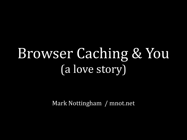### Browser Caching & You (a love story)

Mark Nottingham / mnot.net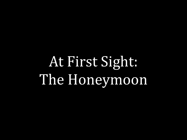At First Sight. The Honeymoon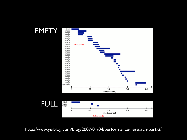

http://www.yuiblog.com/blog/2007/01/04/performance-research-part-2/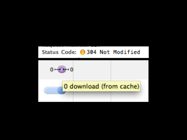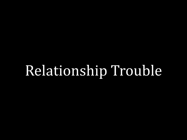## Relationship Trouble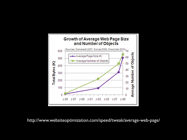

http://www.websiteoptimization.com/speed/tweak/average-web-page/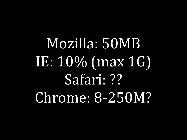Mozilla: 50MB IE: 10% (max 1G) Safari: ?? Chrome: 8-250M?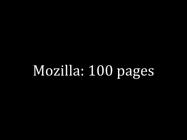## Mozilla: 100 pages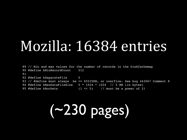### Mozilla: 16384 entries

 89 // Min and max values for the number of records in the DiskCachemap 90 #define kMinRecordCount 512 91 92 #define kSeparateFile 0 93 // #define must always be <= 65535KB, or overflow. See bug 443067 Comment 8 94 #define kMaxDataFileSize 5 \* 1024 \* 1024 // 5 MB (in bytes) 95 #define kBuckets (1 << 5) // must be a power of 2!

## (~230 pages)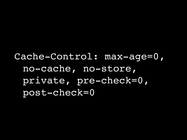Cache-Control: max-age=0, no-cache, no-store, private, pre-check=0, post-check=0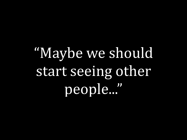"Maybe we should start seeing other people..."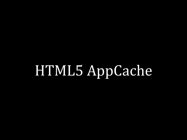## HTML5 AppCache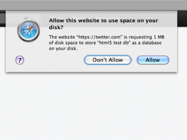

#### Allow this website to use space on your disk?

The website "https://twitter.com" is requesting 1 MB of disk space to store "html5 test db" as a database on your disk.



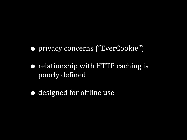- privacy concerns ("EverCookie")
- relationship with HTTP caching is poorly defined
- designed for offline use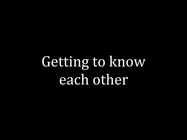## Getting to know each other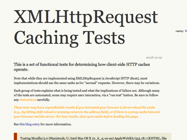# **XMLHttpRequest Caching Tests**

2008-12-09

nearby: X

#### This is a set of functional tests for determining how client-side HTTP caches operate.

Note that while they are implemented using XMLHttpRequest (a JavaScript HTTP client), most implementations should use the same cache as for "normal" requests. However, there may be variations.

Each group of tests explains what is being tested and what the implications of failure are. Although many of the tests are automated, some may require user interaction, via a "run test" button. Be sure to follow any instructions carefully.

These tests may have unpredictable results if you instructed your browser to force-reload the cache (e.g., by hitting shift-reload or pressing return in the address field), or if there is a proxy cache between your browser and the server. For best results, clear your cache before loading this page.

See this blog entry for more information.

Testing Mozilla/5.0 (Macintosh; U; Intel Mac OS X 10\_6\_4; en-au) AppleWebKit/533.18.1 (KHTML, like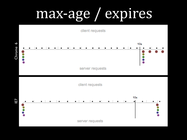## max-age / expires

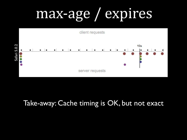## max-age / expires



#### Take-away: Cache timing is OK, but not exact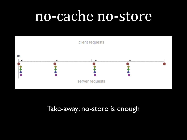### no-cache no-store



#### Take-away: no-store is enough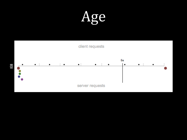Age

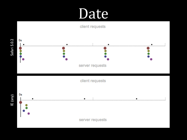### Date



server requests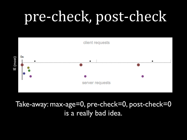## pre-check, post-check



#### Take-away: max-age=0, pre-check=0, post-check=0 is a really bad idea.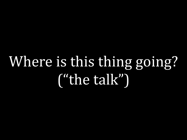## Where is this thing going? ("the talk")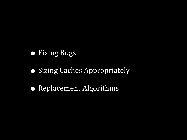#### **• Fixing Bugs**

- Sizing Caches Appropriately
- Replacement Algorithms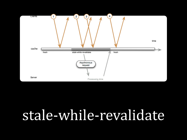

### stale-while-revalidate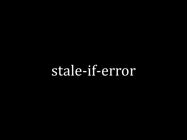### stale-if-error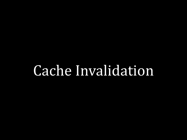### Cache Invalidation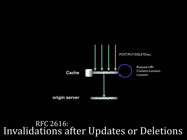

RFC 2616: Invalidations after Updates or Deletions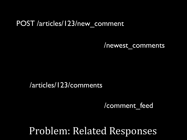#### POST /articles/123/new\_comment

/newest\_comments

#### /articles/123/comments

/comment\_feed

### Problem: Related Responses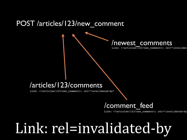#### POST /articles/123/new\_comment



Link: </articles/123/new comment>; rel="invalidat

#### /articles/123/comments

Link: </articles/123/new comment>; rel="invalidated-by"

#### /comment\_feed

Link: </articles/123/new comment>; rel="invalidated-by

## Link: rel=invalidated-by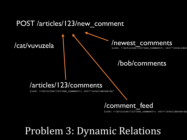#### POST *larticles*/123/new comment

#### /cat/vuvuzela

#### /newest\_comments

Link: </articles/123/new comment>; rel="invalidat

#### /bob/comments

#### /articles/123/comments

Link: </articles/123/new comment>; rel="invalidated-by"

#### /comment\_feed

Link: </articles/123/new comment>; rel="invalidated-by

### Problem 3: Dynamic Relations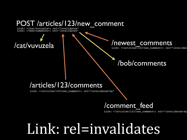#### POST /articles/123/new\_comment

Link: </cat/vuvuzela>; rel="invalidates" Link: </bob/comments>; rel="invalidates"

#### /cat/vuvuzela

/newest\_comments

Link: </articles/123/new comment>; rel="invalidat

#### /bob/comments

#### /articles/123/comments

Link: </articles/123/new comment>; rel="invalidated-by"

#### /comment\_feed

Link: </articles/123/new comment>; rel="invalidated-by

### Link: rel=invalidates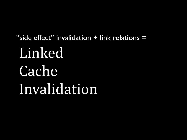Linked Cache Invalidation "side effect" invalidation + link relations =